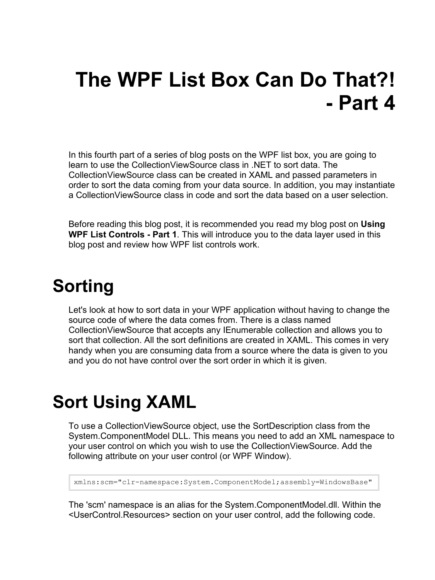# **The WPF List Box Can Do That?! - Part 4**

In this fourth part of a series of blog posts on the WPF list box, you are going to learn to use the CollectionViewSource class in .NET to sort data. The CollectionViewSource class can be created in XAML and passed parameters in order to sort the data coming from your data source. In addition, you may instantiate a CollectionViewSource class in code and sort the data based on a user selection.

Before reading this blog post, it is recommended you read my blog post on **Using WPF List Controls - Part 1**. This will introduce you to the data layer used in this blog post and review how WPF list controls work.

### **Sorting**

Let's look at how to sort data in your WPF application without having to change the source code of where the data comes from. There is a class named CollectionViewSource that accepts any IEnumerable collection and allows you to sort that collection. All the sort definitions are created in XAML. This comes in very handy when you are consuming data from a source where the data is given to you and you do not have control over the sort order in which it is given.

#### **Sort Using XAML**

To use a CollectionViewSource object, use the SortDescription class from the System.ComponentModel DLL. This means you need to add an XML namespace to your user control on which you wish to use the CollectionViewSource. Add the following attribute on your user control (or WPF Window).

```
xmlns:scm="clr-namespace:System.ComponentModel;assembly=WindowsBase"
```
The 'scm' namespace is an alias for the System.ComponentModel.dll. Within the <UserControl.Resources> section on your user control, add the following code.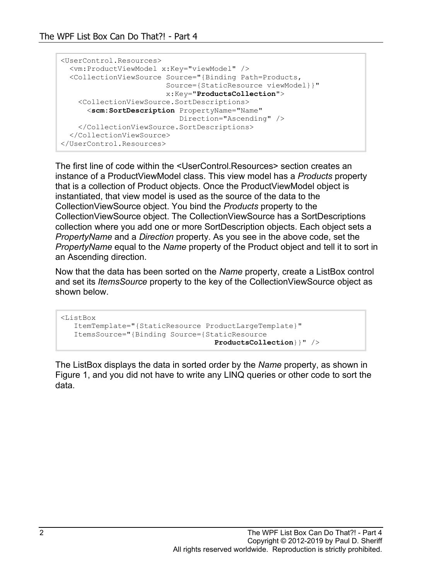```
<UserControl.Resources>
  <vm:ProductViewModel x:Key="viewModel" />
   <CollectionViewSource Source="{Binding Path=Products,
                      Source={StaticResource viewModel}}"
                       x:Key="ProductsCollection">
    <CollectionViewSource.SortDescriptions>
       <scm:SortDescription PropertyName="Name"
                           Direction="Ascending" />
    </CollectionViewSource.SortDescriptions>
   </CollectionViewSource>
</UserControl.Resources>
```
The first line of code within the <UserControl.Resources> section creates an instance of a ProductViewModel class. This view model has a *Products* property that is a collection of Product objects. Once the ProductViewModel object is instantiated, that view model is used as the source of the data to the CollectionViewSource object. You bind the *Products* property to the CollectionViewSource object. The CollectionViewSource has a SortDescriptions collection where you add one or more SortDescription objects. Each object sets a *PropertyName* and a *Direction* property. As you see in the above code, set the *PropertyName* equal to the *Name* property of the Product object and tell it to sort in an Ascending direction.

Now that the data has been sorted on the *Name* property, create a ListBox control and set its *ItemsSource* property to the key of the CollectionViewSource object as shown below.

```
<ListBox
   ItemTemplate="{StaticResource ProductLargeTemplate}"
   ItemsSource="{Binding Source={StaticResource
                                    ProductsCollection}}" />
```
The ListBox displays the data in sorted order by the *Name* property, as shown in [Figure 1,](#page-2-0) and you did not have to write any LINQ queries or other code to sort the data.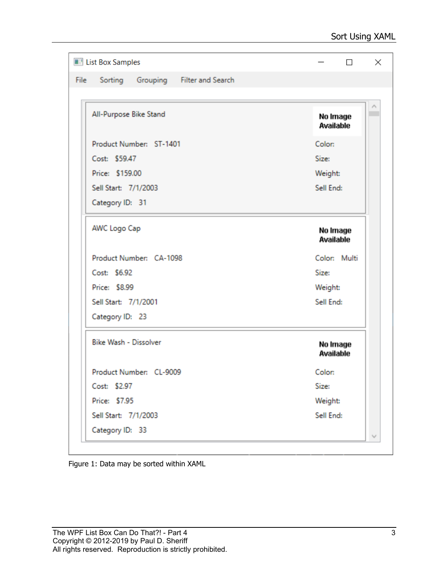| <b>Edg</b> List Box Samples                       | $\Box$                       |
|---------------------------------------------------|------------------------------|
| Sorting Grouping Filter and Search<br><b>File</b> |                              |
|                                                   |                              |
| All-Purpose Bike Stand                            | No Image<br>Available        |
| Product Number: ST-1401                           | Color:                       |
| Cost: \$59.47                                     | Size:                        |
| Price: \$159.00                                   | Weight:                      |
| Sell Start: 7/1/2003                              | Sell End:                    |
| Category ID: 31                                   |                              |
| AWC Logo Cap                                      | No Image<br><b>Available</b> |
| Product Number: CA-1098                           | Color: Multi                 |
| Cost: \$6.92                                      | Size:                        |
| Price: \$8.99                                     | Weight:                      |
| Sell Start: 7/1/2001                              | Sell End:                    |
| Category ID: 23                                   |                              |
| Bike Wash - Dissolver                             | No Image<br>Available        |
| Product Number: CL-9009                           | Color:                       |
| Cost: \$2.97                                      | Size:                        |
| Price: \$7.95                                     | Weight:                      |
| Sell Start: 7/1/2003                              | Sell End:                    |
| Category ID: 33                                   |                              |

<span id="page-2-0"></span>Figure 1: Data may be sorted within XAML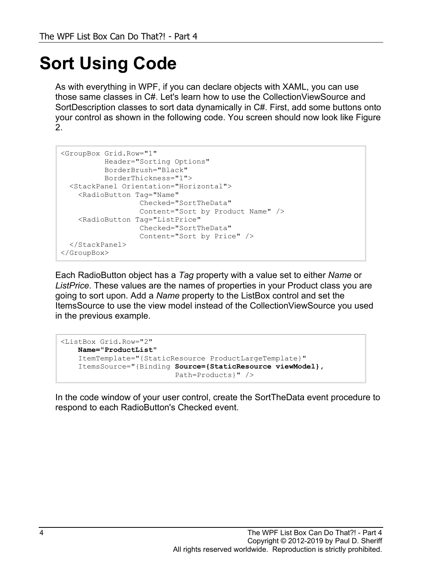# **Sort Using Code**

As with everything in WPF, if you can declare objects with XAML, you can use those same classes in C#. Let's learn how to use the CollectionViewSource and SortDescription classes to sort data dynamically in C#. First, add some buttons onto your control as shown in the following code. You screen should now look like [Figure](#page-5-0)  [2.](#page-5-0)

```
<GroupBox Grid.Row="1"
          Header="Sorting Options"
           BorderBrush="Black"
           BorderThickness="1">
   <StackPanel Orientation="Horizontal">
    <RadioButton Tag="Name"
                   Checked="SortTheData"
                  Content="Sort by Product Name" />
     <RadioButton Tag="ListPrice"
                   Checked="SortTheData"
                 Content="Sort by Price" />
  </StackPanel>
</GroupBox>
```
Each RadioButton object has a *Tag* property with a value set to either *Name* or *ListPrice*. These values are the names of properties in your Product class you are going to sort upon. Add a *Name* property to the ListBox control and set the ItemsSource to use the view model instead of the CollectionViewSource you used in the previous example.

```
<ListBox Grid.Row="2"
    Name="ProductList"
     ItemTemplate="{StaticResource ProductLargeTemplate}"
     ItemsSource="{Binding Source={StaticResource viewModel},
                            Path=Products}" />
```
In the code window of your user control, create the SortTheData event procedure to respond to each RadioButton's Checked event.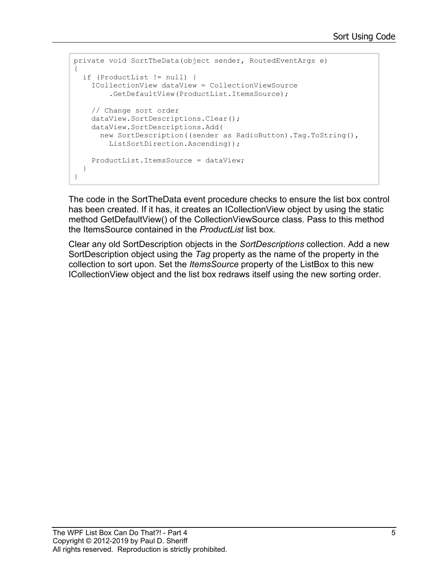```
private void SortTheData(object sender, RoutedEventArgs e)
{
   if (ProductList != null) {
     ICollectionView dataView = CollectionViewSource
         .GetDefaultView(ProductList.ItemsSource);
     // Change sort order
     dataView.SortDescriptions.Clear();
     dataView.SortDescriptions.Add(
       new SortDescription((sender as RadioButton).Tag.ToString(),
         ListSortDirection.Ascending));
     ProductList.ItemsSource = dataView;
   }
}
```
The code in the SortTheData event procedure checks to ensure the list box control has been created. If it has, it creates an ICollectionView object by using the static method GetDefaultView() of the CollectionViewSource class. Pass to this method the ItemsSource contained in the *ProductList* list box.

Clear any old SortDescription objects in the *SortDescriptions* collection. Add a new SortDescription object using the *Tag* property as the name of the property in the collection to sort upon. Set the *ItemsSource* property of the ListBox to this new ICollectionView object and the list box redraws itself using the new sorting order.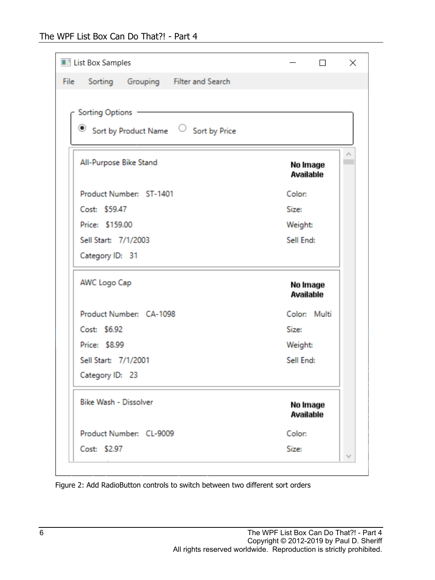| <b>Edge</b> List Box Samples               | $\Box$                       |
|--------------------------------------------|------------------------------|
| Sorting Grouping Filter and Search<br>File |                              |
|                                            |                              |
| <b>Sorting Options</b>                     |                              |
| ۰<br>Sort by Product Name C Sort by Price  |                              |
| All-Purpose Bike Stand                     | No Image<br><b>Available</b> |
| Product Number: ST-1401                    | Color:                       |
| Cost: \$59.47                              | Size:                        |
| Price: \$159.00                            | Weight:                      |
| Sell Start: 7/1/2003                       | Sell End:                    |
| Category ID: 31                            |                              |
| AWC Logo Cap                               | No Image<br>Available        |
| Product Number: CA-1098                    | Color: Multi                 |
| Cost: \$6.92                               | Size:                        |
| Price: \$8.99                              | Weight:                      |
| Sell Start: 7/1/2001                       | Sell End:                    |
| Category ID: 23                            |                              |
| Bike Wash - Dissolver                      | No Image<br>Available        |
| Product Number: CL-9009                    | Color:                       |
| Cost: \$2.97                               | Size:                        |

<span id="page-5-0"></span>Figure 2: Add RadioButton controls to switch between two different sort orders